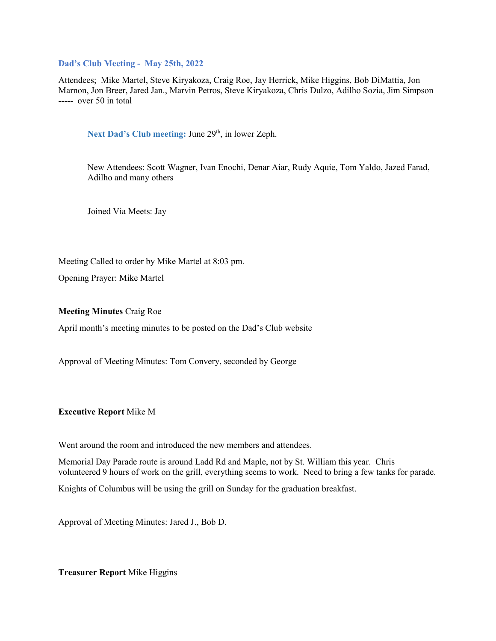#### **Dad's Club Meeting - May 25th, 2022**

Attendees; Mike Martel, Steve Kiryakoza, Craig Roe, Jay Herrick, Mike Higgins, Bob DiMattia, Jon Marnon, Jon Breer, Jared Jan., Marvin Petros, Steve Kiryakoza, Chris Dulzo, Adilho Sozia, Jim Simpson ----- over 50 in total

Next Dad's Club meeting: June 29<sup>th</sup>, in lower Zeph.

New Attendees: Scott Wagner, Ivan Enochi, Denar Aiar, Rudy Aquie, Tom Yaldo, Jazed Farad, Adilho and many others

Joined Via Meets: Jay

Meeting Called to order by Mike Martel at 8:03 pm.

Opening Prayer: Mike Martel

**Meeting Minutes** Craig Roe

April month's meeting minutes to be posted on the Dad's Club website

Approval of Meeting Minutes: Tom Convery, seconded by George

## **Executive Report** Mike M

Went around the room and introduced the new members and attendees.

Memorial Day Parade route is around Ladd Rd and Maple, not by St. William this year. Chris volunteered 9 hours of work on the grill, everything seems to work. Need to bring a few tanks for parade.

Knights of Columbus will be using the grill on Sunday for the graduation breakfast.

Approval of Meeting Minutes: Jared J., Bob D.

**Treasurer Report** Mike Higgins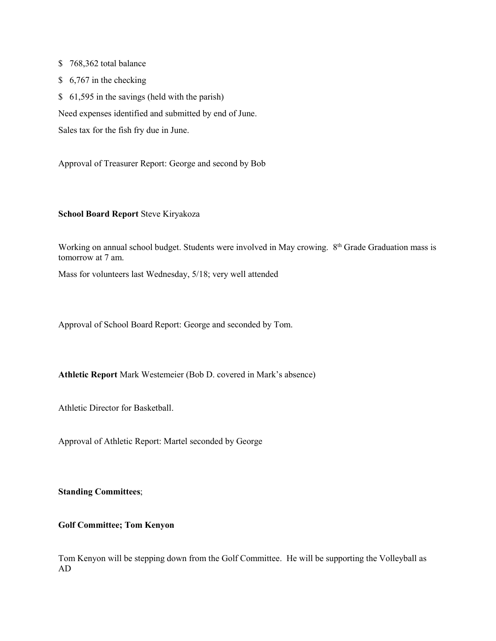\$ 768,362 total balance

\$ 6,767 in the checking

\$ 61,595 in the savings (held with the parish)

Need expenses identified and submitted by end of June.

Sales tax for the fish fry due in June.

Approval of Treasurer Report: George and second by Bob

## **School Board Report** Steve Kiryakoza

Working on annual school budget. Students were involved in May crowing. 8<sup>th</sup> Grade Graduation mass is tomorrow at 7 am.

Mass for volunteers last Wednesday, 5/18; very well attended

Approval of School Board Report: George and seconded by Tom.

**Athletic Report** Mark Westemeier (Bob D. covered in Mark's absence)

Athletic Director for Basketball.

Approval of Athletic Report: Martel seconded by George

# **Standing Committees**;

# **Golf Committee; Tom Kenyon**

Tom Kenyon will be stepping down from the Golf Committee. He will be supporting the Volleyball as AD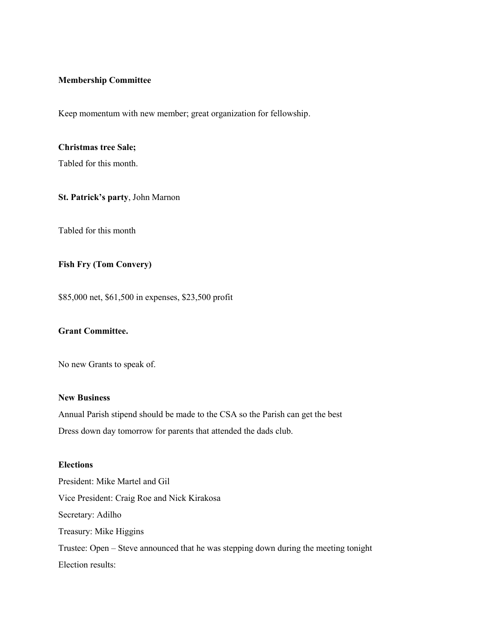#### **Membership Committee**

Keep momentum with new member; great organization for fellowship.

#### **Christmas tree Sale;**

Tabled for this month.

## **St. Patrick's party**, John Marnon

Tabled for this month

# **Fish Fry (Tom Convery)**

\$85,000 net, \$61,500 in expenses, \$23,500 profit

# **Grant Committee.**

No new Grants to speak of.

#### **New Business**

Annual Parish stipend should be made to the CSA so the Parish can get the best Dress down day tomorrow for parents that attended the dads club.

## **Elections**

President: Mike Martel and Gil Vice President: Craig Roe and Nick Kirakosa Secretary: Adilho Treasury: Mike Higgins Trustee: Open – Steve announced that he was stepping down during the meeting tonight Election results: